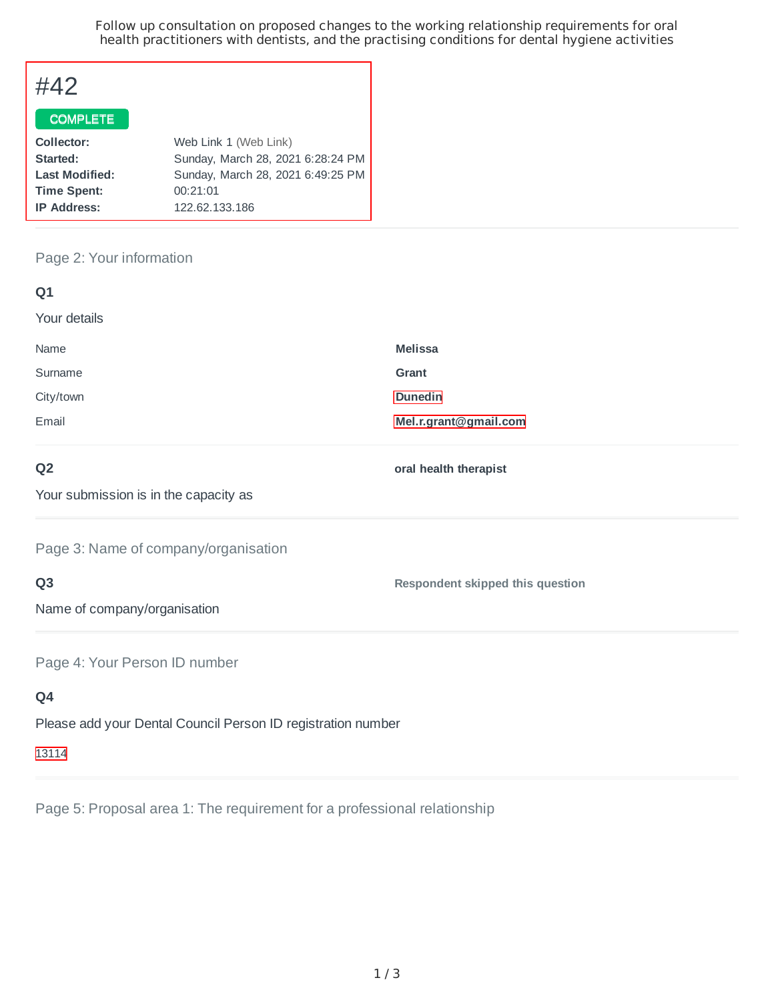Follow up consultation on proposed changes to the working relationship requirements for oral health practitioners with dentists, and the practising conditions for dental hygiene activities

# #42

#### COMPLETE

| Collector:            | Web Link 1 (Web Link)             |
|-----------------------|-----------------------------------|
| Started:              | Sunday, March 28, 2021 6:28:24 PM |
| <b>Last Modified:</b> | Sunday, March 28, 2021 6:49:25 PM |
| <b>Time Spent:</b>    | 00:21:01                          |
| <b>IP Address:</b>    | 122.62.133.186                    |
|                       |                                   |

# Page 2: Your information

| Q <sub>1</sub>                                               |                                         |  |
|--------------------------------------------------------------|-----------------------------------------|--|
| Your details                                                 |                                         |  |
| Name                                                         | <b>Melissa</b>                          |  |
| Surname                                                      | Grant                                   |  |
| City/town                                                    | <b>Dunedin</b>                          |  |
| Email                                                        | Mel.r.grant@gmail.com                   |  |
| Q <sub>2</sub>                                               | oral health therapist                   |  |
| Your submission is in the capacity as                        |                                         |  |
| Page 3: Name of company/organisation                         |                                         |  |
| Q <sub>3</sub>                                               | <b>Respondent skipped this question</b> |  |
| Name of company/organisation                                 |                                         |  |
| Page 4: Your Person ID number                                |                                         |  |
| Q4                                                           |                                         |  |
| Please add your Dental Council Person ID registration number |                                         |  |

13114

Page 5: Proposal area 1: The requirement for a professional relationship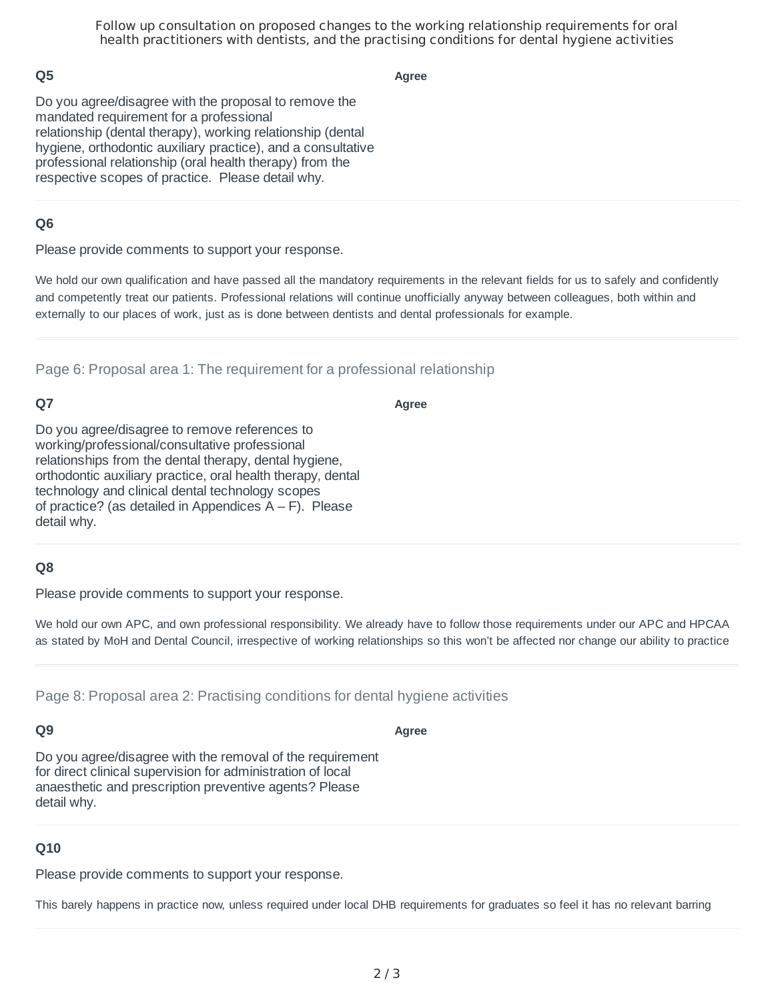Follow up consultation on proposed changes to the working relationship requirements for oral health practitioners with dentists, and the practising conditions for dental hygiene activities

## **Q5**

**Agree**

Do you agree/disagree with the proposal to remove the mandated requirement for a professional relationship (dental therapy), working relationship (dental hygiene, orthodontic auxiliary practice), and a consultative professional relationship (oral health therapy) from the respective scopes of practice. Please detail why.

## **Q6**

Please provide comments to support your response.

We hold our own qualification and have passed all the mandatory requirements in the relevant fields for us to safely and confidently and competently treat our patients. Professional relations will continue unofficially anyway between colleagues, both within and externally to our places of work, just as is done between dentists and dental professionals for example.

Page 6: Proposal area 1: The requirement for a professional relationship

# **Q7**

**Agree**

Do you agree/disagree to remove references to working/professional/consultative professional relationships from the dental therapy, dental hygiene, orthodontic auxiliary practice, oral health therapy, dental technology and clinical dental technology scopes of practice? (as detailed in Appendices  $A - F$ ). Please detail why.

#### **Q8**

Please provide comments to support your response.

We hold our own APC, and own professional responsibility. We already have to follow those requirements under our APC and HPCAA as stated by MoH and Dental Council, irrespective of working relationships so this won't be affected nor change our ability to practice

Page 8: Proposal area 2: Practising conditions for dental hygiene activities

#### **Q9**

**Agree**

Do you agree/disagree with the removal of the requirement for direct clinical supervision for administration of local anaesthetic and prescription preventive agents? Please detail why.

#### **Q10**

Please provide comments to support your response.

This barely happens in practice now, unless required under local DHB requirements for graduates so feel it has no relevant barring